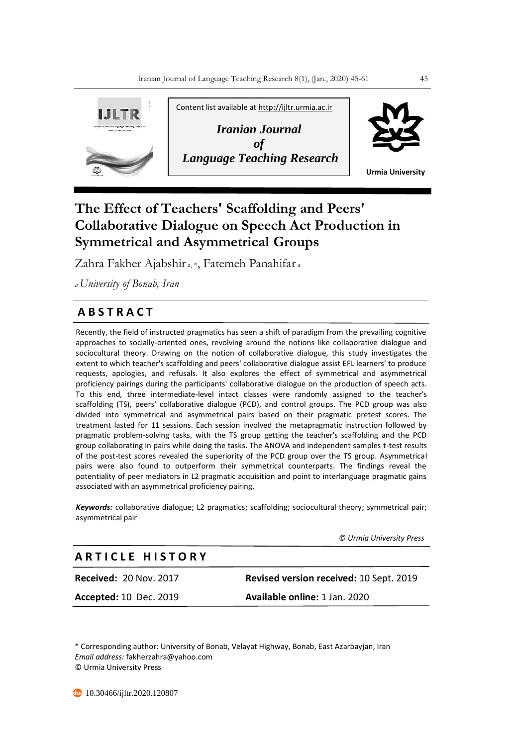

# **The Effect of Teachers' Scaffolding and Peers' Collaborative Dialogue on Speech Act Production in Symmetrical and Asymmetrical Groups**

Zahra Fakher Ajabshir a, \*, Fatemeh Panahifar <sup>a</sup>

*<sup>a</sup>University of Bonab, Iran*

# **A B S T R A C T**

Recently, the field of instructed pragmatics has seen a shift of paradigm from the prevailing cognitive approaches to socially-oriented ones, revolving around the notions like collaborative dialogue and sociocultural theory. Drawing on the notion of collaborative dialogue, this study investigates the extent to which teacher's scaffolding and peers' collaborative dialogue assist EFL learners' to produce requests, apologies, and refusals. It also explores the effect of symmetrical and asymmetrical proficiency pairings during the participants' collaborative dialogue on the production of speech acts. To this end, three intermediate-level intact classes were randomly assigned to the teacher's scaffolding (TS), peers' collaborative dialogue (PCD), and control groups. The PCD group was also divided into symmetrical and asymmetrical pairs based on their pragmatic pretest scores. The treatment lasted for 11 sessions. Each session involved the metapragmatic instruction followed by pragmatic problem-solving tasks, with the TS group getting the teacher's scaffolding and the PCD group collaborating in pairs while doing the tasks. The ANOVA and independent samples t-test results of the post-test scores revealed the superiority of the PCD group over the TS group. Asymmetrical pairs were also found to outperform their symmetrical counterparts. The findings reveal the potentiality of peer mediators in L2 pragmatic acquisition and point to interlanguage pragmatic gains associated with an asymmetrical proficiency pairing.

*Keywords:* collaborative dialogue; L2 pragmatics; scaffolding; sociocultural theory; symmetrical pair; asymmetrical pair

 *© Urmia University Press*

# **A R T I C L E H I S T O R Y**

**Accepted:** 10 Dec. 2019 **Available online:** 1 Jan. 2020

**Received:** 20 Nov. 2017 **Revised version received:** 10 Sept. 2019

\* Corresponding author: University of Bonab, Velayat Highway, Bonab, East Azarbayjan, Iran *Email address:* fakherzahra@yahoo.com © Urmia University Press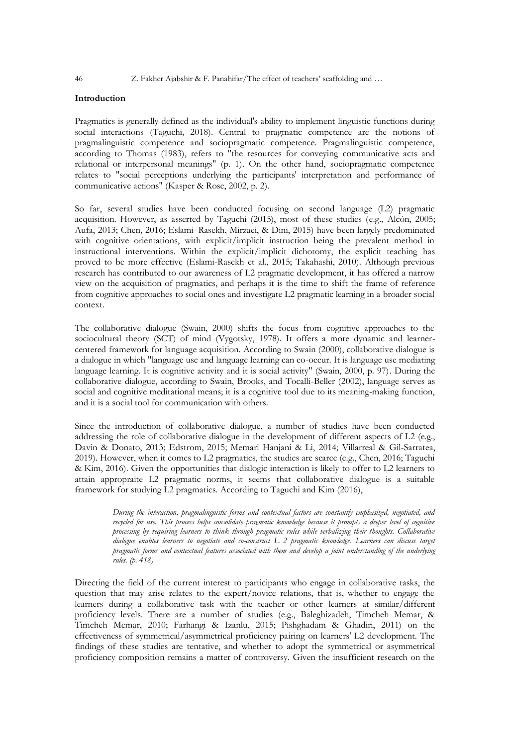# **Introduction**

Pragmatics is generally defined as the individual's ability to implement linguistic functions during social interactions (Taguchi, 2018). Central to pragmatic competence are the notions of pragmalinguistic competence and sociopragmatic competence. Pragmalinguistic competence, according to Thomas (1983), refers to "the resources for conveying communicative acts and relational or interpersonal meanings" (p. 1). On the other hand, sociopragmatic competence relates to "social perceptions underlying the participants' interpretation and performance of communicative actions" (Kasper & Rose, 2002, p. 2).

So far, several studies have been conducted focusing on second language (L2) pragmatic acquisition. However, as asserted by Taguchi (2015), most of these studies (e.g., Alcón, 2005; Aufa, 2013; Chen, 2016; Eslami–Rasekh, Mirzaei, & Dini, 2015) have been largely predominated with cognitive orientations, with explicit/implicit instruction being the prevalent method in instructional interventions. Within the explicit/implicit dichotomy, the explicit teaching has proved to be more effective (Eslami-Rasekh et al., 2015; Takahashi, 2010). Although previous research has contributed to our awareness of L2 pragmatic development, it has offered a narrow view on the acquisition of pragmatics, and perhaps it is the time to shift the frame of reference from cognitive approaches to social ones and investigate L2 pragmatic learning in a broader social context.

The collaborative dialogue (Swain, 2000) shifts the focus from cognitive approaches to the sociocultural theory (SCT) of mind (Vygotsky, 1978). It offers a more dynamic and learnercentered framework for language acquisition. According to Swain (2000), collaborative dialogue is a dialogue in which "language use and language learning can co-occur. It is language use mediating language learning. It is cognitive activity and it is social activity" (Swain, 2000, p. 97). During the collaborative dialogue, according to Swain, Brooks, and Tocalli-Beller (2002), language serves as social and cognitive meditational means; it is a cognitive tool due to its meaning-making function, and it is a social tool for communication with others.

Since the introduction of collaborative dialogue, a number of studies have been conducted addressing the role of collaborative dialogue in the development of different aspects of L2 (e.g., Davin & Donato, 2013; Edstrom, 2015; Memari Hanjani & Li, 2014; Villarreal & Gil-Sarratea, 2019). However, when it comes to L2 pragmatics, the studies are scarce (e.g., Chen, 2016; Taguchi & Kim, 2016). Given the opportunities that dialogic interaction is likely to offer to L2 learners to attain appropraite L2 pragmatic norms, it seems that collaborative dialogue is a suitable framework for studying L2 pragmatics. According to Taguchi and Kim (2016),

> *During the interaction, pragmalinguistic forms and contextual factors are constantly emphasized, negotiated, and recycled for use. This process helps consolidate pragmatic knowledge because it prompts a deeper level of cognitive processing by requiring learners to think through pragmatic rules while verbalizing their thoughts. Collaborative dialogue enables learners to negotiate and co-construct L 2 pragmatic knowledge. Learners can discuss target pragmatic forms and contextual features associated with them and develop a joint understanding of the underlying rules. (p. 418)*

Directing the field of the current interest to participants who engage in collaborative tasks, the question that may arise relates to the expert/novice relations, that is, whether to engage the learners during a collaborative task with the teacher or other learners at similar/different proficiency levels. There are a number of studies (e.g., Baleghizadeh, Timcheh Memar, & Timcheh Memar, 2010; Farhangi & Izanlu, 2015; Pishghadam & Ghadiri, 2011) on the effectiveness of symmetrical/asymmetrical proficiency pairing on learners' L2 development. The findings of these studies are tentative, and whether to adopt the symmetrical or asymmetrical proficiency composition remains a matter of controversy. Given the insufficient research on the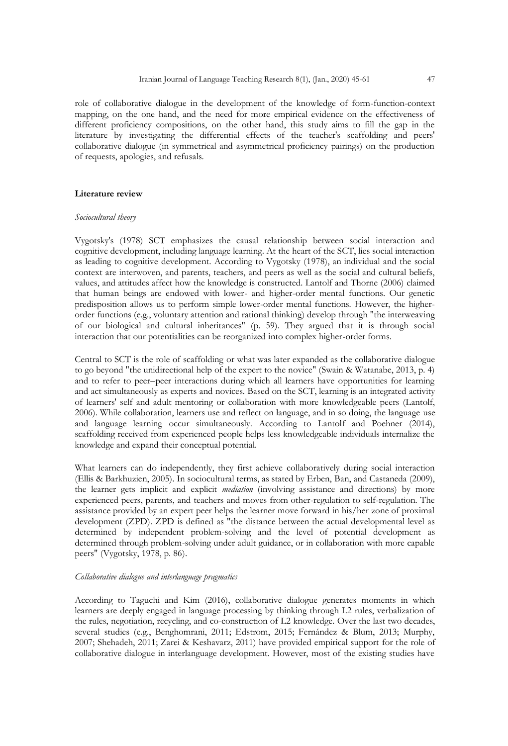role of collaborative dialogue in the development of the knowledge of form-function-context mapping, on the one hand, and the need for more empirical evidence on the effectiveness of different proficiency compositions, on the other hand, this study aims to fill the gap in the literature by investigating the differential effects of the teacher's scaffolding and peers' collaborative dialogue (in symmetrical and asymmetrical proficiency pairings) on the production of requests, apologies, and refusals.

# **Literature review**

#### *Sociocultural theory*

Vygotsky's (1978) SCT emphasizes the causal relationship between social interaction and cognitive development, including language learning. At the heart of the SCT, lies social interaction as leading to cognitive development. According to Vygotsky (1978), an individual and the social context are interwoven, and parents, teachers, and peers as well as the social and cultural beliefs, values, and attitudes affect how the knowledge is constructed. Lantolf and Thorne (2006) claimed that human beings are endowed with lower- and higher-order mental functions. Our genetic predisposition allows us to perform simple lower-order mental functions. However, the higherorder functions (e.g., voluntary attention and rational thinking) develop through "the interweaving of our biological and cultural inheritances" (p. 59). They argued that it is through social interaction that our potentialities can be reorganized into complex higher-order forms.

Central to SCT is the role of scaffolding or what was later expanded as the collaborative dialogue to go beyond "the unidirectional help of the expert to the novice" (Swain & Watanabe, 2013, p. 4) and to refer to peer–peer interactions during which all learners have opportunities for learning and act simultaneously as experts and novices. Based on the SCT, learning is an integrated activity of learners' self and adult mentoring or collaboration with more knowledgeable peers (Lantolf, 2006). While collaboration, learners use and reflect on language, and in so doing, the language use and language learning occur simultaneously. According to Lantolf and Poehner (2014), scaffolding received from experienced people helps less knowledgeable individuals internalize the knowledge and expand their conceptual potential.

What learners can do independently, they first achieve collaboratively during social interaction (Ellis & Barkhuzien, 2005). In sociocultural terms, as stated by Erben, Ban, and Castaneda (2009), the learner gets implicit and explicit *mediation* (involving assistance and directions) by more experienced peers, parents, and teachers and moves from other-regulation to self-regulation. The assistance provided by an expert peer helps the learner move forward in his/her zone of proximal development (ZPD). ZPD is defined as "the distance between the actual developmental level as determined by independent problem-solving and the level of potential development as determined through problem-solving under adult guidance, or in collaboration with more capable peers" (Vygotsky, 1978, p. 86).

#### *Collaborative dialogue and interlanguage pragmatics*

According to Taguchi and Kim (2016), collaborative dialogue generates moments in which learners are deeply engaged in language processing by thinking through L2 rules, verbalization of the rules, negotiation, recycling, and co-construction of L2 knowledge. Over the last two decades, several studies (e.g., Benghomrani, 2011; Edstrom, 2015; Fernández & Blum, 2013; Murphy, 2007; Shehadeh, 2011; Zarei & Keshavarz, 2011) have provided empirical support for the role of collaborative dialogue in interlanguage development. However, most of the existing studies have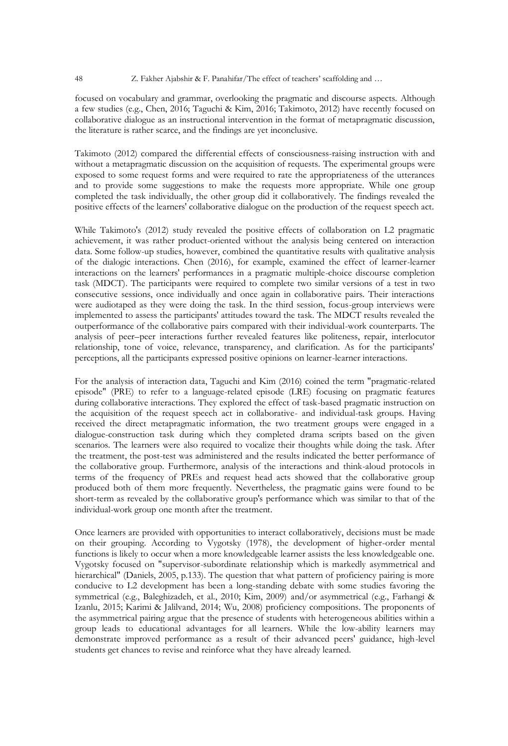focused on vocabulary and grammar, overlooking the pragmatic and discourse aspects. Although a few studies (e.g., Chen, 2016; Taguchi & Kim, 2016; Takimoto, 2012) have recently focused on collaborative dialogue as an instructional intervention in the format of metapragmatic discussion, the literature is rather scarce, and the findings are yet inconclusive.

Takimoto (2012) compared the differential effects of consciousness-raising instruction with and without a metapragmatic discussion on the acquisition of requests. The experimental groups were exposed to some request forms and were required to rate the appropriateness of the utterances and to provide some suggestions to make the requests more appropriate. While one group completed the task individually, the other group did it collaboratively. The findings revealed the positive effects of the learners' collaborative dialogue on the production of the request speech act.

While Takimoto's (2012) study revealed the positive effects of collaboration on L2 pragmatic achievement, it was rather product-oriented without the analysis being centered on interaction data. Some follow-up studies, however, combined the quantitative results with qualitative analysis of the dialogic interactions. Chen (2016), for example, examined the effect of learner-learner interactions on the learners' performances in a pragmatic multiple-choice discourse completion task (MDCT). The participants were required to complete two similar versions of a test in two consecutive sessions, once individually and once again in collaborative pairs. Their interactions were audiotaped as they were doing the task. In the third session, focus-group interviews were implemented to assess the participants' attitudes toward the task. The MDCT results revealed the outperformance of the collaborative pairs compared with their individual-work counterparts. The analysis of peer–peer interactions further revealed features like politeness, repair, interlocutor relationship, tone of voice, relevance, transparency, and clarification. As for the participants' perceptions, all the participants expressed positive opinions on learner-learner interactions.

For the analysis of interaction data, Taguchi and Kim (2016) coined the term "pragmatic-related episode" (PRE) to refer to a language-related episode (LRE) focusing on pragmatic features during collaborative interactions. They explored the effect of task-based pragmatic instruction on the acquisition of the request speech act in collaborative- and individual-task groups. Having received the direct metapragmatic information, the two treatment groups were engaged in a dialogue-construction task during which they completed drama scripts based on the given scenarios. The learners were also required to vocalize their thoughts while doing the task. After the treatment, the post-test was administered and the results indicated the better performance of the collaborative group. Furthermore, analysis of the interactions and think-aloud protocols in terms of the frequency of PREs and request head acts showed that the collaborative group produced both of them more frequently. Nevertheless, the pragmatic gains were found to be short-term as revealed by the collaborative group's performance which was similar to that of the individual-work group one month after the treatment.

Once learners are provided with opportunities to interact collaboratively, decisions must be made on their grouping. According to Vygotsky (1978), the development of higher-order mental functions is likely to occur when a more knowledgeable learner assists the less knowledgeable one. Vygotsky focused on "supervisor-subordinate relationship which is markedly asymmetrical and hierarchical" (Daniels, 2005, p.133). The question that what pattern of proficiency pairing is more conducive to L2 development has been a long-standing debate with some studies favoring the symmetrical (e.g., Baleghizadeh, et al., 2010; Kim, 2009) and/or asymmetrical (e.g., Farhangi & Izanlu, 2015; Karimi & Jalilvand, 2014; Wu, 2008) proficiency compositions. The proponents of the asymmetrical pairing argue that the presence of students with heterogeneous abilities within a group leads to educational advantages for all learners. While the low-ability learners may demonstrate improved performance as a result of their advanced peers' guidance, high-level students get chances to revise and reinforce what they have already learned.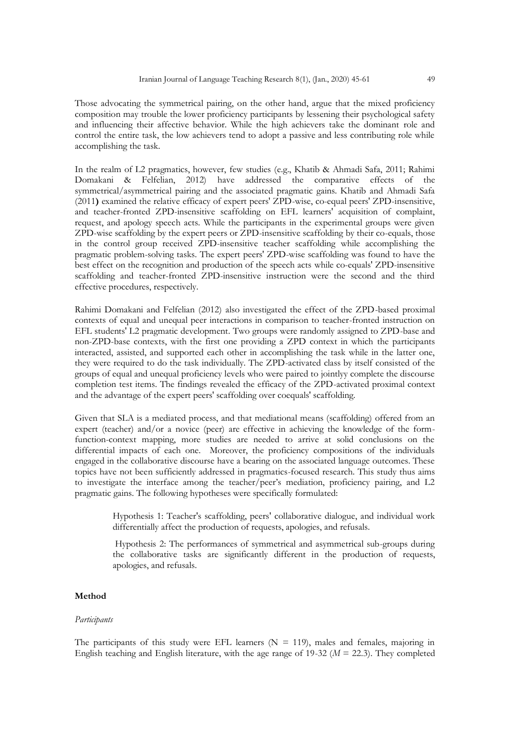Those advocating the symmetrical pairing, on the other hand, argue that the mixed proficiency composition may trouble the lower proficiency participants by lessening their psychological safety and influencing their affective behavior. While the high achievers take the dominant role and control the entire task, the low achievers tend to adopt a passive and less contributing role while accomplishing the task.

In the realm of L2 pragmatics, however, few studies (e.g., Khatib & Ahmadi Safa, 2011; Rahimi Domakani & Felfelian, 2012) have addressed the comparative effects of the symmetrical/asymmetrical pairing and the associated pragmatic gains. Khatib and Ahmadi Safa (2011**)** examined the relative efficacy of expert peers' ZPD-wise, co-equal peers' ZPD-insensitive, and teacher-fronted ZPD-insensitive scaffolding on EFL learners' acquisition of complaint, request, and apology speech acts. While the participants in the experimental groups were given ZPD-wise scaffolding by the expert peers or ZPD-insensitive scaffolding by their co-equals, those in the control group received ZPD-insensitive teacher scaffolding while accomplishing the pragmatic problem-solving tasks. The expert peers' ZPD-wise scaffolding was found to have the best effect on the recognition and production of the speech acts while co-equals' ZPD-insensitive scaffolding and teacher-fronted ZPD-insensitive instruction were the second and the third effective procedures, respectively.

Rahimi Domakani and Felfelian (2012) also investigated the effect of the ZPD-based proximal contexts of equal and unequal peer interactions in comparison to teacher-fronted instruction on EFL students' L2 pragmatic development. Two groups were randomly assigned to ZPD-base and non-ZPD-base contexts, with the first one providing a ZPD context in which the participants interacted, assisted, and supported each other in accomplishing the task while in the latter one, they were required to do the task individually. The ZPD-activated class by itself consisted of the groups of equal and unequal proficiency levels who were paired to jointlyy complete the discourse completion test items. The findings revealed the efficacy of the ZPD-activated proximal context and the advantage of the expert peers' scaffolding over coequals' scaffolding.

Given that SLA is a mediated process, and that mediational means (scaffolding) offered from an expert (teacher) and/or a novice (peer) are effective in achieving the knowledge of the formfunction-context mapping, more studies are needed to arrive at solid conclusions on the differential impacts of each one. Moreover, the proficiency compositions of the individuals engaged in the collaborative discourse have a bearing on the associated language outcomes. These topics have not been sufficiently addressed in pragmatics-focused research. This study thus aims to investigate the interface among the teacher/peer's mediation, proficiency pairing, and L2 pragmatic gains. The following hypotheses were specifically formulated:

> Hypothesis 1: Teacher's scaffolding, peers' collaborative dialogue, and individual work differentially affect the production of requests, apologies, and refusals.

> Hypothesis 2: The performances of symmetrical and asymmetrical sub-groups during the collaborative tasks are significantly different in the production of requests, apologies, and refusals.

# **Method**

#### *Participants*

The participants of this study were EFL learners ( $N = 119$ ), males and females, majoring in English teaching and English literature, with the age range of 19-32 (*M* = 22.3). They completed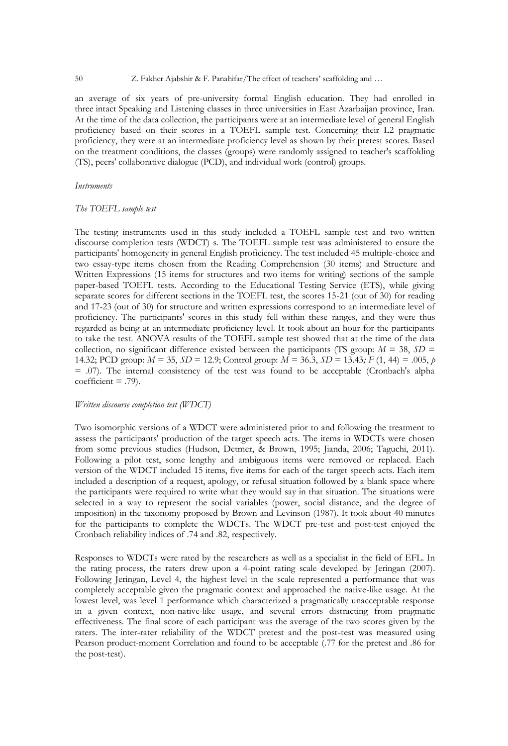an average of six years of pre-university formal English education. They had enrolled in three intact Speaking and Listening classes in three universities in East Azarbaijan province, Iran. At the time of the data collection, the participants were at an intermediate level of general English proficiency based on their scores in a TOEFL sample test. Concerning their L2 pragmatic proficiency, they were at an intermediate proficiency level as shown by their pretest scores. Based on the treatment conditions, the classes (groups) were randomly assigned to teacher's scaffolding (TS), peers' collaborative dialogue (PCD), and individual work (control) groups.

#### *Instruments*

#### *The TOEFL sample test*

The testing instruments used in this study included a TOEFL sample test and two written discourse completion tests (WDCT) s. The TOEFL sample test was administered to ensure the participants' homogeneity in general English proficiency. The test included 45 multiple-choice and two essay-type items chosen from the Reading Comprehension (30 items) and Structure and Written Expressions (15 items for structures and two items for writing) sections of the sample paper-based TOEFL tests. According to the Educational Testing Service (ETS), while giving separate scores for different sections in the TOEFL test, the scores 15-21 (out of 30) for reading and 17-23 (out of 30) for structure and written expressions correspond to an intermediate level of proficiency. The participants' scores in this study fell within these ranges, and they were thus regarded as being at an intermediate proficiency level. It took about an hour for the participants to take the test. ANOVA results of the TOEFL sample test showed that at the time of the data collection, no significant difference existed between the participants (TS group:  $M = 38$ ,  $SD =$ 14.32; PCD group:  $M = 35$ ,  $SD = 12.9$ ; Control group:  $M = 36.3$ ,  $SD = 13.43$ ;  $F(1, 44) = .005$ , *p* = .07). The internal consistency of the test was found to be acceptable (Cronbach's alpha  $coefficient = .79$ ).

### *Written discourse completion test (WDCT)*

Two isomorphic versions of a WDCT were administered prior to and following the treatment to assess the participants' production of the target speech acts. The items in WDCTs were chosen from some previous studies (Hudson, Detmer, & Brown, 1995; Jianda, 2006; Taguchi, 2011). Following a pilot test, some lengthy and ambiguous items were removed or replaced. Each version of the WDCT included 15 items, five items for each of the target speech acts. Each item included a description of a request, apology, or refusal situation followed by a blank space where the participants were required to write what they would say in that situation. The situations were selected in a way to represent the social variables (power, social distance, and the degree of imposition) in the taxonomy proposed by Brown and Levinson (1987). It took about 40 minutes for the participants to complete the WDCTs. The WDCT pre-test and post-test enjoyed the Cronbach reliability indices of .74 and .82, respectively.

Responses to WDCTs were rated by the researchers as well as a specialist in the field of EFL. In the rating process, the raters drew upon a 4-point rating scale developed by Jeringan (2007). Following Jeringan, Level 4, the highest level in the scale represented a performance that was completely acceptable given the pragmatic context and approached the native-like usage. At the lowest level, was level 1 performance which characterized a pragmatically unacceptable response in a given context, non-native-like usage, and several errors distracting from pragmatic effectiveness. The final score of each participant was the average of the two scores given by the raters. The inter-rater reliability of the WDCT pretest and the post-test was measured using Pearson product-moment Correlation and found to be acceptable (.77 for the pretest and .86 for the post-test).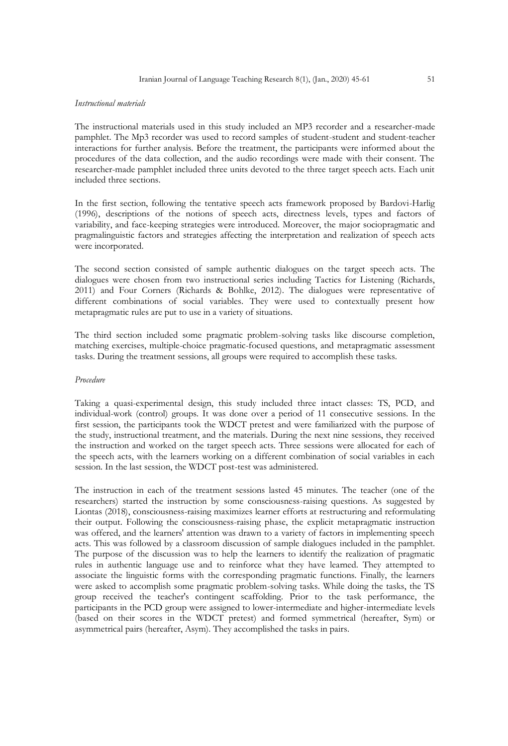#### *Instructional materials*

The instructional materials used in this study included an MP3 recorder and a researcher-made pamphlet. The Mp3 recorder was used to record samples of student-student and student-teacher interactions for further analysis. Before the treatment, the participants were informed about the procedures of the data collection, and the audio recordings were made with their consent. The researcher-made pamphlet included three units devoted to the three target speech acts. Each unit included three sections.

In the first section, following the tentative speech acts framework proposed by Bardovi-Harlig (1996), descriptions of the notions of speech acts, directness levels, types and factors of variability, and face-keeping strategies were introduced. Moreover, the major sociopragmatic and pragmalinguistic factors and strategies affecting the interpretation and realization of speech acts were incorporated.

The second section consisted of sample authentic dialogues on the target speech acts. The dialogues were chosen from two instructional series including Tactics for Listening (Richards, 2011) and Four Corners (Richards & Bohlke, 2012). The dialogues were representative of different combinations of social variables. They were used to contextually present how metapragmatic rules are put to use in a variety of situations.

The third section included some pragmatic problem-solving tasks like discourse completion, matching exercises, multiple-choice pragmatic-focused questions, and metapragmatic assessment tasks. During the treatment sessions, all groups were required to accomplish these tasks.

#### *Procedure*

Taking a quasi-experimental design, this study included three intact classes: TS, PCD, and individual-work (control) groups. It was done over a period of 11 consecutive sessions. In the first session, the participants took the WDCT pretest and were familiarized with the purpose of the study, instructional treatment, and the materials. During the next nine sessions, they received the instruction and worked on the target speech acts. Three sessions were allocated for each of the speech acts, with the learners working on a different combination of social variables in each session. In the last session, the WDCT post-test was administered.

The instruction in each of the treatment sessions lasted 45 minutes. The teacher (one of the researchers) started the instruction by some consciousness-raising questions. As suggested by Liontas (2018), consciousness-raising maximizes learner efforts at restructuring and reformulating their output. Following the consciousness-raising phase, the explicit metapragmatic instruction was offered, and the learners' attention was drawn to a variety of factors in implementing speech acts. This was followed by a classroom discussion of sample dialogues included in the pamphlet. The purpose of the discussion was to help the learners to identify the realization of pragmatic rules in authentic language use and to reinforce what they have learned. They attempted to associate the linguistic forms with the corresponding pragmatic functions. Finally, the learners were asked to accomplish some pragmatic problem-solving tasks. While doing the tasks, the TS group received the teacher's contingent scaffolding. Prior to the task performance, the participants in the PCD group were assigned to lower-intermediate and higher-intermediate levels (based on their scores in the WDCT pretest) and formed symmetrical (hereafter, Sym) or asymmetrical pairs (hereafter, Asym). They accomplished the tasks in pairs.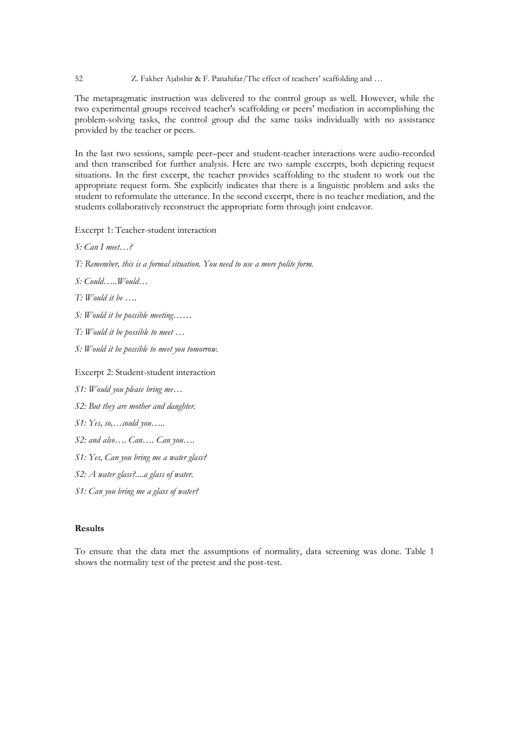The metapragmatic instruction was delivered to the control group as well. However, while the two experimental groups received teacher's scaffolding or peers' mediation in accomplishing the problem-solving tasks, the control group did the same tasks individually with no assistance provided by the teacher or peers.

In the last two sessions, sample peer–peer and student-teacher interactions were audio-recorded and then transcribed for further analysis. Here are two sample excerpts, both depicting request situations. In the first excerpt, the teacher provides scaffolding to the student to work out the appropriate request form. She explicitly indicates that there is a linguistic problem and asks the student to reformulate the utterance. In the second excerpt, there is no teacher mediation, and the students collaboratively reconstruct the appropriate form through joint endeavor.

Excerpt 1: Teacher-student interaction

*S: Can I meet…?*

*T: Remember, this is a formal situation. You need to use a more polite form.*

*S: Could…..Would…*

*T: Would it be ….*

- *S: Would it be possible meeting……*
- *T: Would it be possible to meet …*

*S: Would it be possible to meet you tomorrow.*

Excerpt 2: Student-student interaction

*S1: Would you please bring me…*

*S2: But they are mother and daughter.*

*S1: Yes, so,…could you…..*

*S2: and also…. Can…. Can you….*

*S1: Yes, Can you bring me a water glass?*

*S2: A water glass?....a glass of water.*

*S1: Can you bring me a glass of water?*

# **Results**

To ensure that the data met the assumptions of normality, data screening was done. Table 1 shows the normality test of the pretest and the post-test.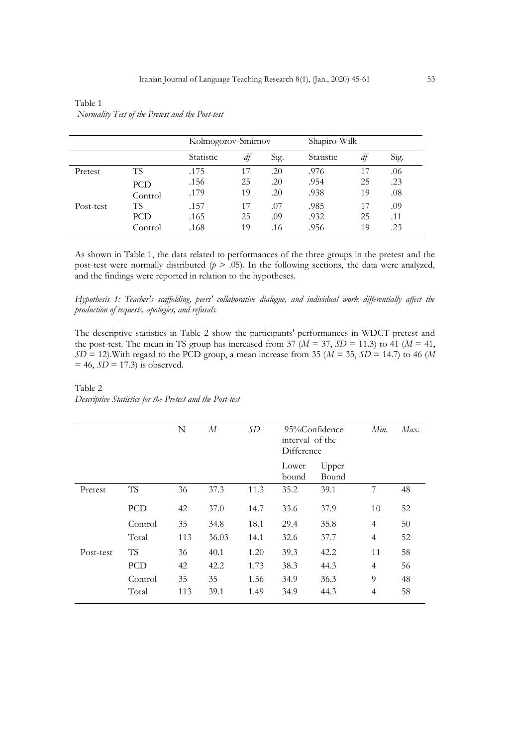|           |         | Kolmogorov-Smirnov |    |      | Shapiro-Wilk |    |      |  |
|-----------|---------|--------------------|----|------|--------------|----|------|--|
|           |         | Statistic          | df | Sig. | Statistic    | df | Sig. |  |
| Pretest   | TS      | .175               | 17 | .20  | .976         | 17 | .06  |  |
|           | PCD     | .156               | 25 | .20  | .954         | 25 | .23  |  |
|           | Control | .179               | 19 | .20  | .938         | 19 | .08  |  |
| Post-test | TS      | .157               | 17 | .07  | .985         | 17 | .09  |  |
|           | PCD     | .165               | 25 | .09  | .932         | 25 | .11  |  |
|           | Control | .168               | 19 | .16  | .956         | 19 | .23  |  |

| Table 1                                         |  |
|-------------------------------------------------|--|
| Normality Test of the Pretest and the Post-test |  |

As shown in Table 1, the data related to performances of the three groups in the pretest and the post-test were normally distributed  $(p > 0.05)$ . In the following sections, the data were analyzed, and the findings were reported in relation to the hypotheses.

*Hypothesis 1: Teacher's scaffolding, peers' collaborative dialogue, and individual work differentially affect the production of requests, apologies, and refusals.* 

The descriptive statistics in Table 2 show the participants' performances in WDCT pretest and the post-test. The mean in TS group has increased from 37 ( $M = 37$ ,  $SD = 11.3$ ) to 41 ( $M = 41$ ,  $SD = 12$ ). With regard to the PCD group, a mean increase from 35 ( $M = 35$ ,  $SD = 14.7$ ) to 46 ( $M$  $= 46$ ,  $S\overrightarrow{D} = 17.3$  is observed.

# Table 2 *Descriptive Statistics for the Pretest and the Post-test*

|           |           | N   | М     | SD   | 95%Confidence<br>interval of the<br>Difference |                | Min.           | Max. |
|-----------|-----------|-----|-------|------|------------------------------------------------|----------------|----------------|------|
|           |           |     |       |      | Lower<br>bound                                 | Upper<br>Bound |                |      |
| Pretest   | <b>TS</b> | 36  | 37.3  | 11.3 | 35.2                                           | 39.1           | 7              | 48   |
|           | PCD       | 42  | 37.0  | 14.7 | 33.6                                           | 37.9           | 10             | 52   |
|           | Control   | 35  | 34.8  | 18.1 | 29.4                                           | 35.8           | $\overline{4}$ | 50   |
|           | Total     | 113 | 36.03 | 14.1 | 32.6                                           | 37.7           | $\overline{4}$ | 52   |
| Post-test | <b>TS</b> | 36  | 40.1  | 1.20 | 39.3                                           | 42.2           | 11             | 58   |
|           | PCD       | 42  | 42.2  | 1.73 | 38.3                                           | 44.3           | $\overline{4}$ | 56   |
|           | Control   | 35  | 35    | 1.56 | 34.9                                           | 36.3           | 9              | 48   |
|           | Total     | 113 | 39.1  | 1.49 | 34.9                                           | 44.3           | 4              | 58   |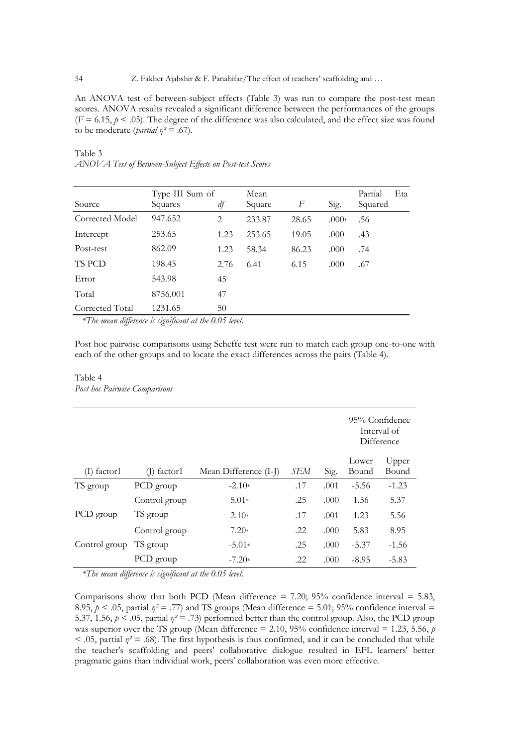An ANOVA test of between-subject effects (Table 3) was run to compare the post-test mean scores. ANOVA results revealed a significant difference between the performances of the groups  $(F = 6.15, p < .05)$ . The degree of the difference was also calculated, and the effect size was found to be moderate (*partial*  $\eta^2 = .67$ ).

# Table 3 *ANOVA Test of Between-Subject Effects on Post-test Scores*

| Source          | Type III Sum of<br>Squares | df   | Mean<br>Square | F     | Sig.    | Partial<br>Squared | Eta |
|-----------------|----------------------------|------|----------------|-------|---------|--------------------|-----|
| Corrected Model | 947.652                    | 2    | 233.87         | 28.65 | $.000*$ | .56                |     |
| Intercept       | 253.65                     | 1.23 | 253.65         | 19.05 | .000    | .43                |     |
| Post-test       | 862.09                     | 1.23 | 58.34          | 86.23 | .000    | .74                |     |
| TS PCD          | 198.45                     | 2.76 | 6.41           | 6.15  | .000    | .67                |     |
| Error           | 543.98                     | 45   |                |       |         |                    |     |
| Total           | 8756.001                   | 47   |                |       |         |                    |     |
| Corrected Total | 1231.65                    | 50   |                |       |         |                    |     |

*\*The mean difference is significant at the 0.05 level*.

Post hoc pairwise comparisons using Scheffe test were run to match each group one-to-one with each of the other groups and to locate the exact differences across the pairs (Table 4).

# Table 4

*Post hoc Pairwise Comparisons*

|               |               |                       |     |      | 95% Confidence<br>Interval of<br>Difference |         |  |
|---------------|---------------|-----------------------|-----|------|---------------------------------------------|---------|--|
|               |               |                       |     |      | Lower                                       | Upper   |  |
| $(I)$ factor1 | $(I)$ factor1 | Mean Difference (I-J) | SEM | Sig. | Bound                                       | Bound   |  |
| TS group      | PCD group     | $-2.10*$              | .17 | .001 | $-5.56$                                     | $-1.23$ |  |
|               | Control group | $5.01*$               | .25 | .000 | 1.56                                        | 5.37    |  |
| PCD group     | TS group      | $2.10*$               | .17 | .001 | 1.23                                        | 5.56    |  |
|               | Control group | $7.20*$               | .22 | .000 | 5.83                                        | 8.95    |  |
| Control group | TS group      | $-5.01*$              | .25 | .000 | $-5.37$                                     | $-1.56$ |  |
|               | PCD group     | $-7.20*$              | .22 | .000 | $-8.95$                                     | $-5.83$ |  |

*\*The mean difference is significant at the 0.05 level*.

Comparisons show that both PCD (Mean difference  $= 7.20$ ; 95% confidence interval  $= 5.83$ , 8.95,  $p < .05$ , partial  $\eta^2 = .77$ ) and TS groups (Mean difference = 5.01; 95% confidence interval = 5.37, 1.56,  $p < .05$ , partial  $\eta^2 = .73$ ) performed better than the control group. Also, the PCD group was superior over the TS group (Mean difference  $= 2.10, 95\%$  confidence interval  $= 1.23, 5.56, p$  $<$  0.05, partial  $\eta$ <sup>2</sup> = .68). The first hypothesis is thus confirmed, and it can be concluded that while the teacher's scaffolding and peers' collaborative dialogue resulted in EFL learners' better pragmatic gains than individual work, peers' collaboration was even more effective.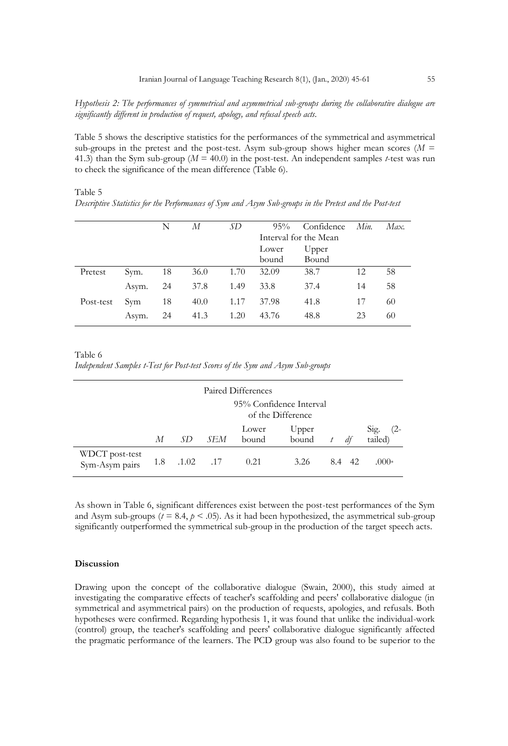*Hypothesis 2: The performances of symmetrical and asymmetrical sub-groups during the collaborative dialogue are significantly different in production of request, apology, and refusal speech acts.*

Table 5 shows the descriptive statistics for the performances of the symmetrical and asymmetrical sub-groups in the pretest and the post-test. Asym sub-group shows higher mean scores ( $M =$ 41.3) than the Sym sub-group ( $M = 40.0$ ) in the post-test. An independent samples *t*-test was run to check the significance of the mean difference (Table 6).

#### Table 5

|           |       | N  | М    | SD   | 95%   | Confidence            | Min. | Max. |
|-----------|-------|----|------|------|-------|-----------------------|------|------|
|           |       |    |      |      |       | Interval for the Mean |      |      |
|           |       |    |      |      | Lower | Upper                 |      |      |
|           |       |    |      |      | bound | Bound                 |      |      |
| Pretest   | Sym.  | 18 | 36.0 | 1.70 | 32.09 | 38.7                  | 12   | 58   |
|           | Asym. | 24 | 37.8 | 1.49 | 33.8  | 37.4                  | 14   | 58   |
| Post-test | Sym   | 18 | 40.0 | 1.17 | 37.98 | 41.8                  | 17   | 60   |
|           | Asym. | 24 | 41.3 | 1.20 | 43.76 | 48.8                  | 23   | 60   |

*Descriptive Statistics for the Performances of Sym and Asym Sub-groups in the Pretest and the Post-test* 

Table 6 *Independent Samples t-Test for Post-test Scores of the Sym and Asym Sub-groups*

| Paired Differences               |                                              |       |             |                |                |     |    |                        |  |
|----------------------------------|----------------------------------------------|-------|-------------|----------------|----------------|-----|----|------------------------|--|
|                                  | 95% Confidence Interval<br>of the Difference |       |             |                |                |     |    |                        |  |
|                                  | М                                            | .SD   | SEM         | Lower<br>bound | Upper<br>bound |     | df | Sig.<br>(2-<br>tailed) |  |
| WDCT post-test<br>Sym-Asym pairs | 1.8                                          | .1.02 | $\ldots$ 17 | 0.21           | 3.26           | 8.4 | 42 | $.000*$                |  |

As shown in Table 6, significant differences exist between the post-test performances of the Sym and Asym sub-groups ( $t = 8.4$ ,  $p < .05$ ). As it had been hypothesized, the asymmetrical sub-group significantly outperformed the symmetrical sub-group in the production of the target speech acts.

## **Discussion**

Drawing upon the concept of the collaborative dialogue (Swain, 2000), this study aimed at investigating the comparative effects of teacher's scaffolding and peers' collaborative dialogue (in symmetrical and asymmetrical pairs) on the production of requests, apologies, and refusals. Both hypotheses were confirmed. Regarding hypothesis 1, it was found that unlike the individual-work (control) group, the teacher's scaffolding and peers' collaborative dialogue significantly affected the pragmatic performance of the learners. The PCD group was also found to be superior to the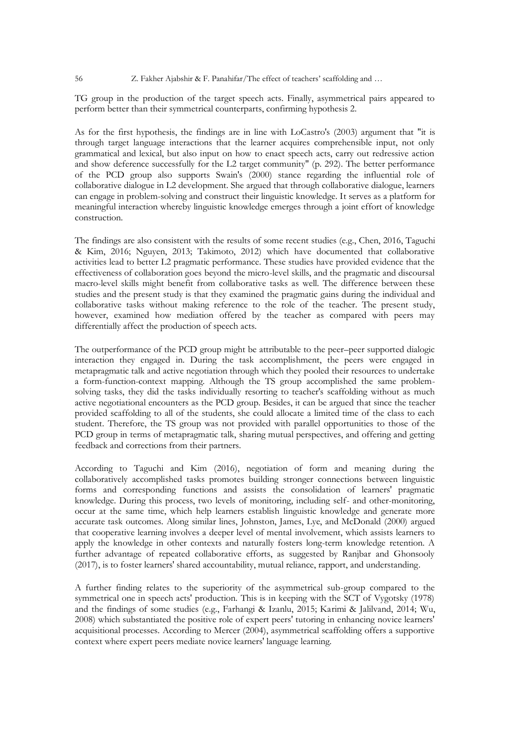TG group in the production of the target speech acts. Finally, asymmetrical pairs appeared to perform better than their symmetrical counterparts, confirming hypothesis 2.

As for the first hypothesis, the findings are in line with LoCastro's (2003) argument that "it is through target language interactions that the learner acquires comprehensible input, not only grammatical and lexical, but also input on how to enact speech acts, carry out redressive action and show deference successfully for the L2 target community" (p. 292). The better performance of the PCD group also supports Swain's (2000) stance regarding the influential role of collaborative dialogue in L2 development. She argued that through collaborative dialogue, learners can engage in problem-solving and construct their linguistic knowledge. It serves as a platform for meaningful interaction whereby linguistic knowledge emerges through a joint effort of knowledge construction.

The findings are also consistent with the results of some recent studies (e.g., Chen, 2016, Taguchi & Kim, 2016; Nguyen, 2013; Takimoto, 2012) which have documented that collaborative activities lead to better L2 pragmatic performance. These studies have provided evidence that the effectiveness of collaboration goes beyond the micro-level skills, and the pragmatic and discoursal macro-level skills might benefit from collaborative tasks as well. The difference between these studies and the present study is that they examined the pragmatic gains during the individual and collaborative tasks without making reference to the role of the teacher. The present study, however, examined how mediation offered by the teacher as compared with peers may differentially affect the production of speech acts.

The outperformance of the PCD group might be attributable to the peer–peer supported dialogic interaction they engaged in. During the task accomplishment, the peers were engaged in metapragmatic talk and active negotiation through which they pooled their resources to undertake a form-function-context mapping. Although the TS group accomplished the same problemsolving tasks, they did the tasks individually resorting to teacher's scaffolding without as much active negotiational encounters as the PCD group. Besides, it can be argued that since the teacher provided scaffolding to all of the students, she could allocate a limited time of the class to each student. Therefore, the TS group was not provided with parallel opportunities to those of the PCD group in terms of metapragmatic talk, sharing mutual perspectives, and offering and getting feedback and corrections from their partners.

According to Taguchi and Kim (2016), negotiation of form and meaning during the collaboratively accomplished tasks promotes building stronger connections between linguistic forms and corresponding functions and assists the consolidation of learners' pragmatic knowledge. During this process, two levels of monitoring, including self- and other-monitoring, occur at the same time, which help learners establish linguistic knowledge and generate more accurate task outcomes. Along similar lines, Johnston, James, Lye, and McDonald (2000) argued that cooperative learning involves a deeper level of mental involvement, which assists learners to apply the knowledge in other contexts and naturally fosters long-term knowledge retention. A further advantage of repeated collaborative efforts, as suggested by Ranjbar and Ghonsooly (2017), is to foster learners' shared accountability, mutual reliance, rapport, and understanding.

A further finding relates to the superiority of the asymmetrical sub-group compared to the symmetrical one in speech acts' production. This is in keeping with the SCT of Vygotsky (1978) and the findings of some studies (e.g., Farhangi & Izanlu, 2015; Karimi & Jalilvand, 2014; Wu, 2008) which substantiated the positive role of expert peers' tutoring in enhancing novice learners' acquisitional processes. According to Mercer (2004), asymmetrical scaffolding offers a supportive context where expert peers mediate novice learners' language learning.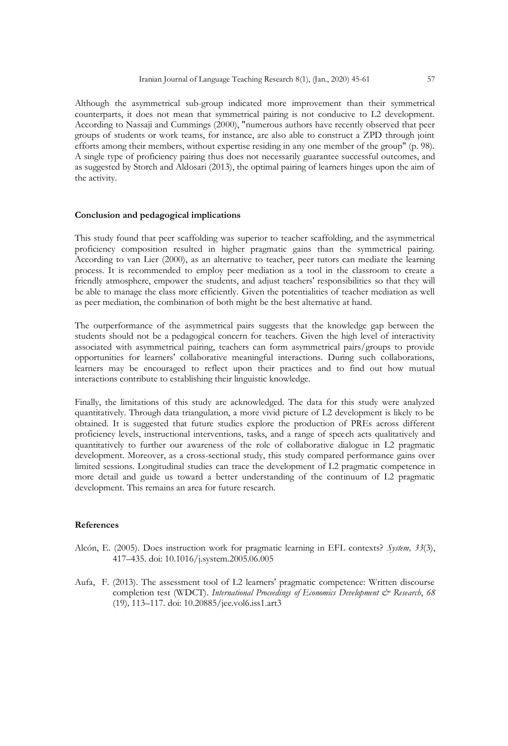Although the asymmetrical sub-group indicated more improvement than their symmetrical counterparts, it does not mean that symmetrical pairing is not conducive to L2 development. According to Nassaji and Cummings (2000), "numerous authors have recently observed that peer groups of students or work teams, for instance, are also able to construct a ZPD through joint efforts among their members, without expertise residing in any one member of the group" (p. 98). A single type of proficiency pairing thus does not necessarily guarantee successful outcomes, and as suggested by Storch and Aldosari (2013), the optimal pairing of learners hinges upon the aim of the activity.

#### **Conclusion and pedagogical implications**

This study found that peer scaffolding was superior to teacher scaffolding, and the asymmetrical proficiency composition resulted in higher pragmatic gains than the symmetrical pairing. According to van Lier (2000), as an alternative to teacher, peer tutors can mediate the learning process. It is recommended to employ peer mediation as a tool in the classroom to create a friendly atmosphere, empower the students, and adjust teachers' responsibilities so that they will be able to manage the class more efficiently. Given the potentialities of teacher mediation as well as peer mediation, the combination of both might be the best alternative at hand.

The outperformance of the asymmetrical pairs suggests that the knowledge gap between the students should not be a pedagogical concern for teachers. Given the high level of interactivity associated with asymmetrical pairing, teachers can form asymmetrical pairs/groups to provide opportunities for learners' collaborative meaningful interactions. During such collaborations, learners may be encouraged to reflect upon their practices and to find out how mutual interactions contribute to establishing their linguistic knowledge.

Finally, the limitations of this study are acknowledged. The data for this study were analyzed quantitatively. Through data triangulation, a more vivid picture of L2 development is likely to be obtained. It is suggested that future studies explore the production of PREs across different proficiency levels, instructional interventions, tasks, and a range of speech acts qualitatively and quantitatively to further our awareness of the role of collaborative dialogue in L2 pragmatic development. Moreover, as a cross-sectional study, this study compared performance gains over limited sessions. Longitudinal studies can trace the development of L2 pragmatic competence in more detail and guide us toward a better understanding of the continuum of L2 pragmatic development. This remains an area for future research.

# **References**

- Alcón, E. (2005). Does instruction work for pragmatic learning in EFL contexts? *System, 33*(3), 417–435. doi: 10.1016/j.system.2005.06.005
- Aufa, F. (2013). The assessment tool of L2 learners' pragmatic competence: Written discourse completion test (WDCT). *International Proceedings of Economics Development & Research*, 68 (19)*,* 113–117. doi: 10.20885/jee.vol6.iss1.art3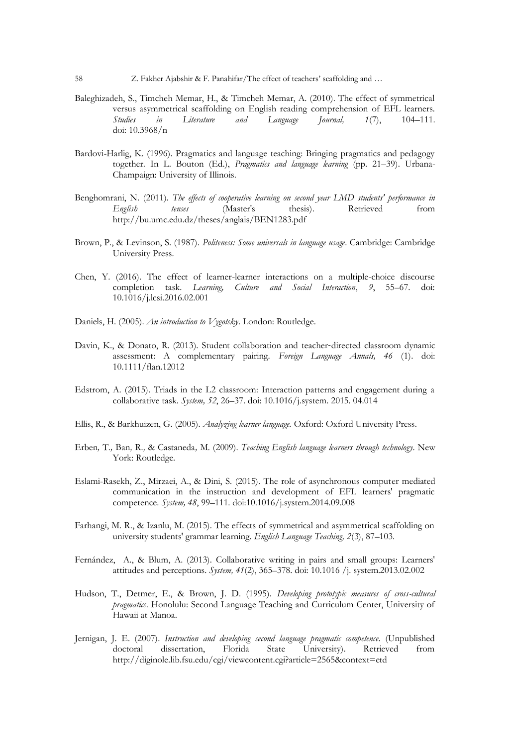- Baleghizadeh, S., Timcheh Memar, H., & Timcheh Memar, A. (2010). The effect of symmetrical versus asymmetrical scaffolding on English reading comprehension of EFL learners. *Studies in Literature and Language Journal, 1*(7), 104–111. doi: 10.3968/n
- Bardovi-Harlig, K. (1996). Pragmatics and language teaching: Bringing pragmatics and pedagogy together. In L. Bouton (Ed.), *Pragmatics and language learning* (pp. 21–39). Urbana-Champaign: University of Illinois.
- Benghomrani, N. (2011). *The effects of cooperative learning on second year LMD students' performance in English tenses* (Master's thesis). Retrieved from http://bu.umc.edu.dz/theses/anglais/BEN1283.pdf
- Brown, P., & Levinson, S. (1987). *Politeness: Some universals in language usage*. Cambridge: Cambridge University Press.
- Chen, Y. (2016). The effect of learner-learner interactions on a multiple-choice discourse completion task. *Learning, Culture and Social Interaction*, *9*, 55–67. doi: 10.1016/j.lcsi.2016.02.001
- Daniels, H. (2005). *An introduction to Vygotsky*. London: Routledge.
- Davin, K., & Donato, R. (2013). Student collaboration and teacher-directed classroom dynamic assessment: A complementary pairing. *Foreign Language Annals, 46* (1). doi: 10.1111/flan.12012
- Edstrom, A. (2015). Triads in the L2 classroom: Interaction patterns and engagement during a collaborative task. *System, 52*, 26–37. doi: 10.1016/j.system. 2015. 04.014
- Ellis, R., & Barkhuizen, G. (2005). *Analyzing learner language.* Oxford: Oxford University Press.
- Erben*,* T*.,* Ban*,* R*.,* & Castaneda*,* M*.* (2009). *Teaching English language learners through technology*. New York: Routledge*.*
- Eslami-Rasekh, Z., Mirzaei, A., & Dini, S. (2015). The role of asynchronous computer mediated communication in the instruction and development of EFL learners' pragmatic competence. *System, 48*, 99–111. doi:10.1016/j.system.2014.09.008
- Farhangi, M. R., & Izanlu, M. (2015). The effects of symmetrical and asymmetrical scaffolding on university students' grammar learning. *English Language Teaching, 2*(3), 87–103.
- Fernández, A., & Blum, A. (2013). Collaborative writing in pairs and small groups: Learners' attitudes and perceptions. *System, 41*(2), 365–378. doi: 10.1016 /j. system.2013.02.002
- Hudson, T., Detmer, E., & Brown, J. D. (1995). *Developing prototypic measures of cross-cultural pragmatics*. Honolulu: Second Language Teaching and Curriculum Center, University of Hawaii at Manoa.
- Jernigan, J. E. (2007). *Instruction and developing second language pragmatic competence.* (Unpublished doctoral dissertation, Florida State University). Retrieved from http://diginole.lib.fsu.edu/cgi/viewcontent.cgi?article=2565&context=etd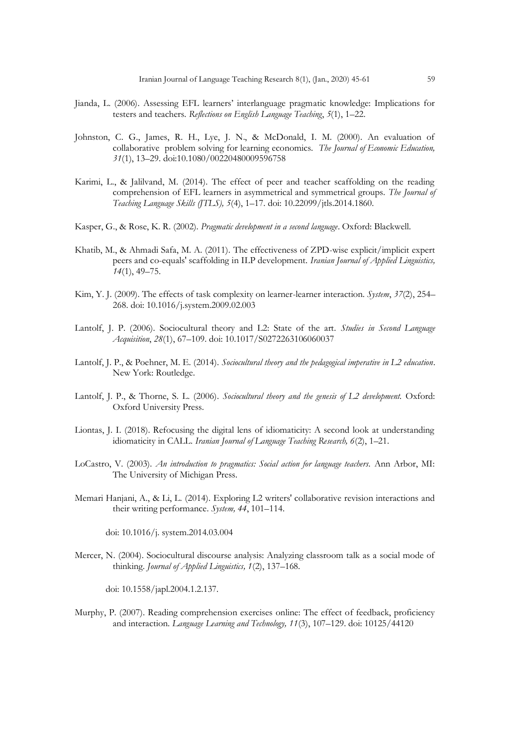- Jianda, L. (2006). Assessing EFL learners' interlanguage pragmatic knowledge: Implications for testers and teachers. *Reflections on English Language Teaching*, *5*(1), 1–22.
- Johnston, C. G., James, R. H., Lye, J. N., & McDonald, I. M. (2000). An evaluation of collaborative problem solving for learning economics. *The Journal of Economic Education, 31*(1), 13–29. doi:10.1080/00220480009596758
- Karimi, L., & Jalilvand, M. (2014). The effect of peer and teacher scaffolding on the reading comprehension of EFL learners in asymmetrical and symmetrical groups. *The Journal of Teaching Language Skills (JTLS), 5*(4), 1–17. doi: 10.22099/jtls.2014.1860.
- Kasper, G., & Rose, K. R. (2002). *Pragmatic development in a second language*. Oxford: Blackwell.
- Khatib, M., & Ahmadi Safa, M. A. (2011). The effectiveness of ZPD-wise explicit/implicit expert peers and co-equals' scaffolding in ILP development. *Iranian Journal of Applied Linguistics, 14*(1), 49–75.
- Kim, Y. J. (2009). The effects of task complexity on learner-learner interaction. *System*, *37*(2), 254– 268. doi: 10.1016/j.system.2009.02.003
- Lantolf, J. P. (2006). Sociocultural theory and L2: State of the art. *Studies in Second Language Acquisition*, *28*(1), 67–109. doi: 10.1017/S0272263106060037
- Lantolf, J. P., & Poehner, M. E. (2014). *Sociocultural theory and the pedagogical imperative in L2 education*. New York: Routledge.
- Lantolf, J. P., & Thorne, S. L. (2006). *Sociocultural theory and the genesis of L2 development.* Oxford: Oxford University Press.
- Liontas, J. I. (2018). Refocusing the digital lens of idiomaticity: A second look at understanding idiomaticity in CALL. *Iranian Journal of Language Teaching Research, 6*(2), 1–21.
- LoCastro, V. (2003). *An introduction to pragmatics: Social action for language teachers.* Ann Arbor, MI: The University of Michigan Press.
- Memari Hanjani, A., & Li, L. (2014). Exploring L2 writers' collaborative revision interactions and their writing performance. *System, 44*, 101–114.

doi: 10.1016/j. system.2014.03.004

Mercer, N. (2004). Sociocultural discourse analysis: Analyzing classroom talk as a social mode of thinking. *Journal of Applied Linguistics, 1*(2), 137–168.

doi: 10.1558/japl.2004.1.2.137.

Murphy, P. (2007). Reading comprehension exercises online: The effect of feedback, proficiency and interaction. *Language Learning and Technology, 11*(3), 107–129. doi: 10125/44120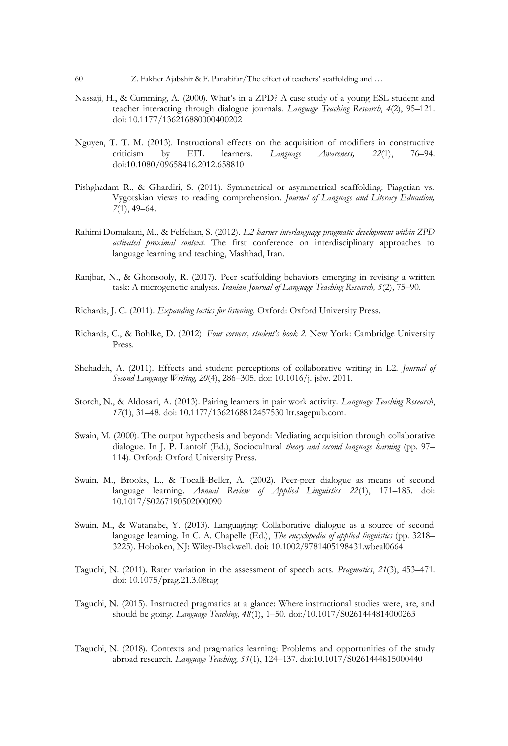- Nassaji, H., & Cumming, A. (2000). What's in a ZPD? A case study of a young ESL student and teacher interacting through dialogue journals. *Language Teaching Research*, *4*(2), 95–121. doi: 10.1177/136216880000400202
- Nguyen, T. T. M. (2013). Instructional effects on the acquisition of modifiers in constructive criticism by EFL learners. *Language Awareness, 22*(1), 76–94. doi:10.1080/09658416.2012.658810
- Pishghadam R., & Ghardiri, S. (2011). Symmetrical or asymmetrical scaffolding: Piagetian vs. Vygotskian views to reading comprehension. *Journal of Language and Literacy Education, 7*(1), 49–64.
- Rahimi Domakani, M., & Felfelian, S. (2012). *L2 learner interlanguage pragmatic development within ZPD activated proximal context*. The first conference on interdisciplinary approaches to language learning and teaching, Mashhad, Iran.
- Ranjbar, N., & Ghonsooly, R. (2017). Peer scaffolding behaviors emerging in revising a written task: A microgenetic analysis*. Iranian Journal of Language Teaching Research, 5*(2), 75–90.
- Richards, J. C. (2011). *Expanding tactics for listening*. Oxford: Oxford University Press.
- Richards, C., & Bohlke, D. (2012). *Four corners, student's book 2*. New York: Cambridge University Press.
- Shehadeh, A. (2011). Effects and student perceptions of collaborative writing in L2. *Journal of Second Language Writing, 20*(4), 286–305. doi: 10.1016/j. jslw. 2011.
- Storch, N., & Aldosari, A. (2013). Pairing learners in pair work activity. *Language Teaching Research*, *17*(1), 31–48. doi: 10.1177/1362168812457530 ltr.sagepub.com.
- Swain, M. (2000). The output hypothesis and beyond: Mediating acquisition through collaborative dialogue. In J. P. Lantolf (Ed.), Sociocultural *theory and second language learning* (pp. 97– 114). Oxford: Oxford University Press.
- Swain, M., Brooks, L., & Tocalli-Beller, A. (2002). Peer-peer dialogue as means of second language learning. *Annual Review of Applied Linguistics 22*(1), 171–185. doi: 10.1017/S0267190502000090
- Swain, M., & Watanabe, Y. (2013). Languaging: Collaborative dialogue as a source of second language learning. In C. A. Chapelle (Ed.), *The encyclopedia of applied linguistics* (pp. 3218– 3225). Hoboken, NJ: Wiley-Blackwell. doi: 10.1002/9781405198431.wbeal0664
- Taguchi, N. (2011). Rater variation in the assessment of speech acts. *Pragmatics*, *21*(3), 453–471. doi: 10.1075/prag.21.3.08tag
- Taguchi, N. (2015). Instructed pragmatics at a glance: Where instructional studies were, are, and should be going. *Language Teaching, 48*(1), 1–50. doi:/10.1017/S0261444814000263
- Taguchi, N. (2018). Contexts and pragmatics learning: Problems and opportunities of the study abroad research. *Language Teaching, 51*(1), 124–137. doi:10.1017/S0261444815000440